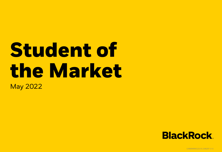# **Student of the Market** May 2022



USRRMH0522U/S-2186297-1/11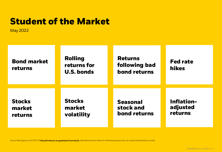### <span id="page-1-0"></span>**Student of the Market**

May 2022

| <b>Bond market</b><br>returns | <b>Rolling</b><br>returns for<br><b>U.S. bonds</b> | <b>Returns</b><br>following bad<br>bond returns | <b>Fed rate</b><br><b>hikes</b> |
|-------------------------------|----------------------------------------------------|-------------------------------------------------|---------------------------------|
| <b>Stocks</b>                 | <b>Stocks</b>                                      | <b>Seasonal</b>                                 | <b>Inflation-</b>               |
| market                        | market                                             | stock and                                       | adjusted                        |
| returns                       | volatility                                         | bond returns                                    | returns                         |

Source: Morningstar as of 4/30/22. Past performance is no guarantee of future results. Index performance is shown for illustrative purposes only. You cannot invest directly in an index.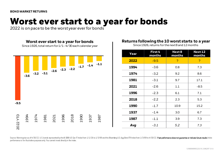## <span id="page-2-0"></span>**Worst ever start to a year for bonds**

2022 is on pace to be the worst year ever for bonds



#### **Returns following the 10 worst starts to a year**

Since 1926, returns for the next 8 and 12 months

| Year | First 4<br>months | Next 8<br>months | Next 12<br>months |  |
|------|-------------------|------------------|-------------------|--|
| 2022 | $-9.5$            | P                | P                 |  |
| 1994 | $-3.6$            | 0.8              | 7.3               |  |
| 1974 | $-3.2$            | 9.2              | 8.6               |  |
| 1981 | $-3.1$            | 9.7              | 17.1              |  |
| 2021 | $-2.6$            | 1.1              | -8.5              |  |
| 1996 | $-2.3$            | 6.1              | 7.1               |  |
| 2018 | $-2.2$            | 2.3              | 5.3               |  |
| 1990 | $-1.7$            | 10.9             | 15.2              |  |
| 1937 | $-1.4$            | 3.0              | 6.7               |  |
| 1987 | $-1.1$            | 3.9              | 7.3               |  |
| Avg  | $-3.1$            | 5.2              | 7.3               |  |

Source: Morningstar as of 4/30/22. U.S. bonds represented by the IA SBBI US Gov IT Index from 1/1/26 to 1/3/89 and the Bloomlerg U.S. Agg Bond TR Index from 1/3/89 to 4/30/22. Past performance does not guarantee or indicat performance is for illustrative purposes only. You cannot invest directly in the index.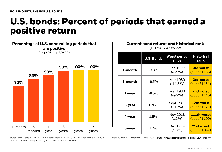### <span id="page-3-0"></span>**U.S. bonds: Percent of periods that earned a positive return**

#### **Percentage of U.S. bond rolling periods that are positive**

(1/1/26 - 4/30/22)



#### **Current bond returns and historical rank**  $(1/1/26 - 4/30/22)$

|         | <b>U.S. Bonds</b> | <b>Worst period</b><br>since | <b>Historical</b><br>rank    |  |
|---------|-------------------|------------------------------|------------------------------|--|
| 1-month | $-3.8%$           | Feb 1980<br>$(-5.9%)$        | 3rd worst<br>(out of 1156)   |  |
| 6-month | $-9.5%$           | Mar 1980<br>$(-11.5\%)$      | 3rd worst<br>(out of 1151)   |  |
| 1-year  | $-8.5%$           | Mar 1980<br>$(-9.2\%)$       | 2nd worst<br>(out of 1145)   |  |
| 3-year  | 0.4%              | Sept 1981<br>$(-0.3%)$       | 12th worst<br>(out of 1121)  |  |
| 4-year  | 1.6%              | Nov 2018<br>$(1.2\%)$        | 111th worst<br>(out of 1109) |  |
| 5-year  | $1.2\%$           | Dec 1959<br>$(1.0\%)$        | 21st worst<br>(out of 1097)  |  |

Source: Morningstar as of 4/30/22. U.S. bonds represented by the IA SBBI US Gov IT Index from 1/1/26 to 1/3/89 and the Bloomlerg U.S. Agg Bond TR Index from 1/3/89 to 4/30/22. Past performance does not guarantee or indicat performance is for illustrative purposes only. You cannot invest directly in the index.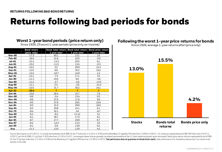# <span id="page-4-0"></span>**Returns following bad periods for bonds**

#### **Worst 1-year bond periods (price return only)**

Since 1926, 25 worst 1-year periods (price only, ex-income)

|               | <b>Bond return</b> |              |              | Stock total return Bond total return Bond price return |
|---------------|--------------------|--------------|--------------|--------------------------------------------------------|
|               | (price only)       | 1 year later | 1 year later | 1 year later                                           |
| <b>Mar-80</b> | $-17.3$            | 40.1         | 13.1         | 1.6                                                    |
| Feb-80        | $-16.4$            | 21.6         | 10.5         | $-0.5$                                                 |
| <b>Jul-81</b> | $-15.3$            | $-13.3$      | 20.5         | 6.1                                                    |
| <b>Jun-81</b> | $-15.2$            | $-11.5$      | 13.4         | $-0.3$                                                 |
| Aug-81        | $-14.2$            | 3.2          | 29.9         | 14.3                                                   |
| $Sep-81$      | $-13.5$            | 9.9          | 35.2         | 19.2                                                   |
| $May-81$      | $-13.2$            | $-10.7$      | 14.9         | 1.2                                                    |
| Apr-81        | $-12.1$            | $-7.4$       | 17.1         | 3.2                                                    |
| <b>Jan-80</b> | $-11.3$            | 19.5         | 6.0          | $-4.6$                                                 |
| Sep-80        | $-11.2$            | $-2.7$       | $-2.6$       | $-13.5$                                                |
| Aug-80        | $-11.1$            | 5.4          | $-3.6$       | $-14.2$                                                |
| <b>May-84</b> | $-10.5$            | 31.7         | 30.2         | 16.1                                                   |
| <b>Apr-22</b> | $-10.4$            | P.           | P.           | P.                                                     |
| Oct-94        | $-10.0$            | 26.4         | 15.7         | 7.6                                                    |
| <b>Nov-80</b> | $-9.6$             | $-5.4$       | 13.4         | 0.5                                                    |
| <b>Nov-94</b> | $-9.6$             | 37.0         | 17.6         | 9.6                                                    |
| <b>Dec-94</b> | $-9.5$             | 37.6         | 18.5         | 10.4                                                   |
| <b>Jun-84</b> | $-9.5$             | 31.0         | 29.9         | 16.0                                                   |
| Sep-94        | $-9.5$             | 29.8         | 14.1         | 6.1                                                    |
| <b>Oct-79</b> | $-9.4$             | 32.1         | 3.4          | $-6.7$                                                 |
| Sep-69        | $-9.2$             | $-6.2$       | 11.12        | 3.1                                                    |
| <b>Jan-95</b> | $-9.1$             | 38.7         | 17.0         | 9.1                                                    |
| <b>Apr-84</b> | $-8.7$             | 17.7         | 19.9         | 6.7                                                    |
| <b>Sep-87</b> | $-8.2$             | $-12.4$      | 13.3         | 3.5                                                    |
| <b>Jan-00</b> | $-8.1$             | $-0.9$       | 13.8         | 6.2                                                    |
| Avq           | $-11.3$            | 13.0         | 13.9         | 4.2                                                    |

### **Following the worst 1-year price returns for bonds**

Since 1926, average 1-year returns after (price only)



Source: Morningstar as of 4/30/22. U.S. bonds represented by the IA SBBI US Gov IT Index from 1/1/26 to 1/3/89 and the Bloomlerg U.S. Agg Bond TR Index from 1/3/89 to 4/30/22, U.S. stocks are represented by the S&P 500 Ind 4/30/22 and the IA SBBI U.S. Lrg Stock Tr USD Index from 1/1/26 to 3/4/57, unmanaged indexes that are generally considered representative of the U.S. stock market during each given time period. Bonds (price returns only) a US Gov IT Cap App Index from 1/1/26 to 1/3/89 and the Bloomberg U.S. Agg Bond PRIndex from 1/3/89 to 4/30/22. Past performance does not quarantee or indicate future results. Index performance is for illustrative purposes o directly in the index.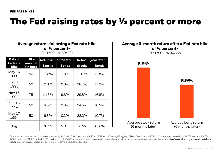### <span id="page-5-0"></span>**The Fed raising rates by ½ percent or more**

### **Average returns following a Fed rate hike of ½ percent+**

(1/1/90 - 4/30/22)

| Hike<br>Date of        |                    |               | Return 6 months later | <b>Return 1 year later</b> |              |  |
|------------------------|--------------------|---------------|-----------------------|----------------------------|--------------|--|
| <b>Fedrate</b><br>hike | amount<br>(in bps) | <b>Stocks</b> | <b>Bonds</b>          | <b>Stocks</b>              | <b>Bonds</b> |  |
| May 16,<br>2000        | 50                 | $-3.8%$       | 7.8%                  | $-13.0%$                   | 13.8%        |  |
| Feb 1,<br>1995         | 50                 | 21.1%         | $9.0\%$               | 38.7%                      | 17.0%        |  |
| Nov 15,<br>1994        | 75                 | 14.3%         | $9.6\%$               | 29.8%                      | 16.8%        |  |
| Aug 16,<br>1994        | 50                 | 6.6%          | 2.8%                  | 24.5%                      | 10.5%        |  |
| May 17,<br>1994        | 50                 | 6.3%          | 0.2%                  | 22.3%                      | 10.7%        |  |
| Avg                    |                    | 8.9%          | 5.9%                  | 20.5%                      | 13.8%        |  |

#### **Average 6-month return after a Fed rate hike of ½ percent+**   $(1/1/90 - 4/30/22)$



Source: Morningstar as of 4/30/22. U.S. bonds represented by the IA SBBI US Gov IT Index from 1/1/26 to 1/3/89 and the Bloomberg U.S. Agg Bond TR Index from 1/3/89 to 4/30/22, U.S. stocks are represented by the S&P 500 Ind 4/30/22 and the IA SBBI U.S. Lrg Stock Tr USD Index from 1/1/26 to 3/4/57, unmanaged indexes that are generally considered representative of the U.S. stock maket during each given time period. Past performancedoes not guar results. Index performance is for illustrative purposes only. You cannot invest directly in the index.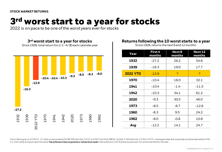# <span id="page-6-0"></span>**3rd worst start to a year for stocks**

2022 is on pace to be one of the worst years ever for stocks



### **Returns following the 10 worst starts to a year**

Since 1926, returns the next 8 and 12 months

| Year            | First 4<br>months | Next 8<br>months | Next 12<br>months |  |
|-----------------|-------------------|------------------|-------------------|--|
| 1932            | $-27.2$           | 26.2             | 54.6              |  |
| 1939            | $-16.3$           | 19.0             | 17.7              |  |
| <b>2022 YTD</b> | $-12.9$           | P                | ?                 |  |
| 1970            | $-10.4$           | 16.0             | 32.1              |  |
| 1941            | $-10.4$           | $-1.4$           | $-11.5$           |  |
| 1942            | $-10.3$           | 34.1             | 61.2              |  |
| 2020            | $-9.3$            | 30.5             | 46.0              |  |
| 1973            | -8.5              | $-6.7$           | $-12.6$           |  |
| 1960            | $-8.3$            | 9.5              | 24.2              |  |
| 1962            | $-8.0$            | $-0.8$           | 10.8              |  |
| Avg             | $-12.2$           | 14.1             | 24.7              |  |

Source: Morningstar as of 4/30/22.. U.S. stocks are represented by the S&P 500 Index from 3/4/57 to 4/30/22 and the IA SBBI US. Lrg Stock Tr USD Index from 1/1/26 to 3/4/57, unmanaged indexes that are generally considered U.S. stock market during each given time period. Past performance does not guarantee or indicate future results. Index performance is for illustrative purposes only. You cannot invest directly in the index.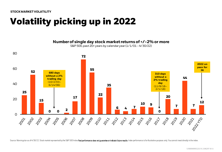<span id="page-7-0"></span>**[STOCK MARKET VOLATILITY](#page-1-0)**

# **Volatility picking up in 2022**

**Number of single day stock market returns of +/-2% or more**



S&P 500, past 20+ years by calendar year (1/1/01 - 4/30/22)

Source: Morningstar as of 4/30/22. Stock market represented by the S&P 500 Index.Past performance does not quarantee or indicate future results. Index performance is for illustrative purposes only. You cannot invest direct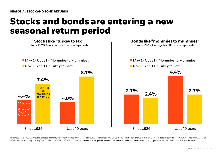### <span id="page-8-0"></span>**Stocks and bonds are entering a new seasonal return period**



Morningstar as of 4/30/22. U.S. stocks are represented by the S&P 500 TR Index from 3/4/57 to4/30/22 and the IASBBI US. Lrg Stock TR USD Index from 1/1/26 to 3/4/57, U.S. bonds represented by the IASBBI US Gov IT Index fro 1/3/89 and the Bloomberg U.S. Agg Bond TR Index from 1/3/89 to 04/30/22. Past performance does not quarantee or indicate future results. Index performance is for illustrative purposes only. You cannot invest directly in th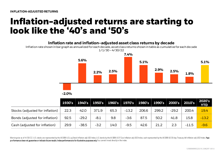### <span id="page-9-0"></span>**Inflation-adjusted returns are starting to look like the '40's and '50's**

**Inflation rate and inflation-adjusted asset class returns by decade** Inflation rate shown in bar graph as annualized for each decade, asset class returns shown in table as cumulative for each decade

### **5.6% 2.2% 2.5% 7.4% 5.1% 2.9% 2.5% 1.8% 5.1%** 1/1/30 – 4/30/22



|                                 |      | $1930's$   1940's   1950's   1960's   1970's   1980's   1990's   2000's   2010's |        |      |         |       |       |         |         | 2020's<br><b>YTD</b> |
|---------------------------------|------|----------------------------------------------------------------------------------|--------|------|---------|-------|-------|---------|---------|----------------------|
| Stocks (adjusted for inflation) | 22.3 | 42.0                                                                             | 371.9  | 65.3 | $-13.2$ | 206.6 | 299.2 | $-29.2$ | 200.4   | 19.4                 |
| Bonds (adjusted for inflation)  | 92.5 | $-29.2$                                                                          | $-8.1$ | 9.8  | $-3.6$  | 87.5  | 50.2  | 41.8    | 15.8    | $-13.2$              |
| Cash (adjusted for inflation)   | 29.9 | $-38.5$                                                                          | $-3.2$ | 14.0 | $-9.5$  | 42.6  | 21.2  | 2.3     | $-11.5$ | $-9.6$               |

Morningstar as of 4/30/22. U.S. stocks are represented by the IASBBI U.S.Lrg Stock Inflation adj USD Index, U.S. bonds by the IASBBI USIT Gov Inflation adj USD Index, cash represented by the IASBBI US 30 day Treasury bill performance does not quarantee or indicate future results. Index performance is for illustrative purposes only.You cannot invest directly in the index.